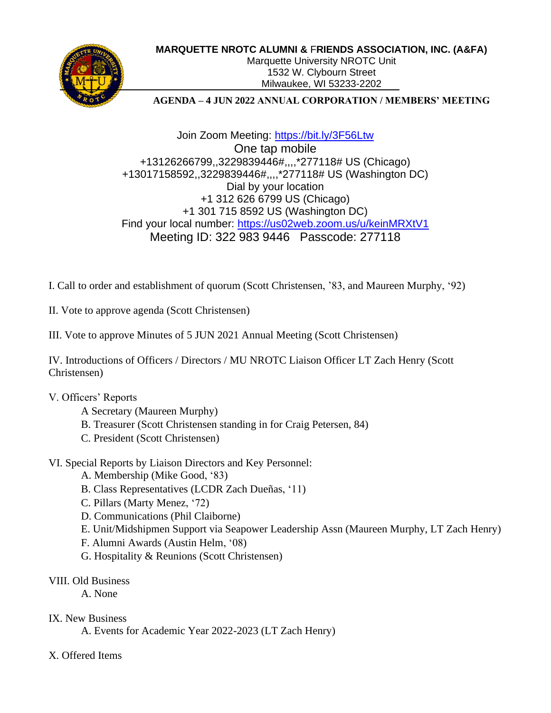

#### **MARQUETTE NROTC ALUMNI &** F**RIENDS ASSOCIATION, INC. (A&FA)**

Marquette University NROTC Unit 1532 W. Clybourn Street Milwaukee, WI 53233-2202

#### **AGENDA – 4 JUN 2022 ANNUAL CORPORATION / MEMBERS' MEETING**

Join Zoom Meeting:<https://bit.ly/3F56Ltw> One tap mobile +13126266799,,3229839446#,,,,\*277118# US (Chicago) +13017158592,,3229839446#,,,,\*277118# US (Washington DC) Dial by your location +1 312 626 6799 US (Chicago) +1 301 715 8592 US (Washington DC) Find your local number:<https://us02web.zoom.us/u/keinMRXtV1> Meeting ID: 322 983 9446 Passcode: 277118

I. Call to order and establishment of quorum (Scott Christensen, '83, and Maureen Murphy, '92)

II. Vote to approve agenda (Scott Christensen)

III. Vote to approve Minutes of 5 JUN 2021 Annual Meeting (Scott Christensen)

IV. Introductions of Officers / Directors / MU NROTC Liaison Officer LT Zach Henry (Scott Christensen)

### V. Officers' Reports

- A Secretary (Maureen Murphy)
- B. Treasurer (Scott Christensen standing in for Craig Petersen, 84)
- C. President (Scott Christensen)

# VI. Special Reports by Liaison Directors and Key Personnel:

- A. Membership (Mike Good, '83)
- B. Class Representatives (LCDR Zach Dueñas, '11)
- C. Pillars (Marty Menez, '72)
- D. Communications (Phil Claiborne)
- E. Unit/Midshipmen Support via Seapower Leadership Assn (Maureen Murphy, LT Zach Henry)
- F. Alumni Awards (Austin Helm, '08)
- G. Hospitality & Reunions (Scott Christensen)

# VIII. Old Business

A. None

### IX. New Business

A. Events for Academic Year 2022-2023 (LT Zach Henry)

# X. Offered Items